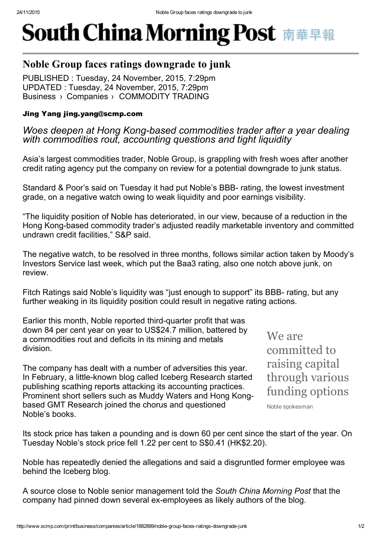## **South China Morning Post 南華早報**

## Noble Group faces ratings downgrade to junk

Business > Companies > COMMODITY TRADING PUBLISHED : Tuesday, 24 November, 2015, 7:29pm UPDATED : Tuesday, 24 November, 2015, 7:29pm

## Jing Yang jing.yang@scmp.com

*Woes deepen* at *Hong Kong-based commodities trader after* a year *dealing with commodities rout, accounting questions and tight liquidity*

Asia's largest commodities trader, Noble Group, is grappling with fresh woes after another credit rating agency put the company on review for a potential downgrade to junk status.

Standard & Poor's said on Tuesday it had put Noble's BBB- rating, the lowest investment grade, on a negative watch owing to weak liquidity and poor earnings visibility.

"The liquidity position of Noble has deteriorated, in our view, because of a reduction in the Hong Kong-based commodity trader's adjusted readily marketable inventory and committed undrawn credit facilities," S&P said.

The negative watch, to be resolved in three months, follows similar action taken by Moody's Investors Service last week, which put the Baa3 rating, also one notch above junk, on review.

Fitch Ratings said Noble's liquidity was "just enough to support" its BBB- rating, but any further weaking in its liquidity position could result in negative rating actions.

Earlier this month, Noble reported third-quarter profit that was down 84 per cent year on year to US\$24.7 million, battered by a commodities rout and deficits in its mining and metals division.

The company has dealt with a number of adversities this year. In February, a little-known blog called Iceberg Research started publishing scathing reports attacking its accounting practices. Prominent short sellers such as Muddy Waters and Hong Kongbased GMT Research joined the chorus and questioned Noble's books.

We are committed to raising capital through various funding options

Noble spokesman

Its stock price has taken a pounding and is down 60 per cent since the start of the year. On Tuesday Noble's stock price fell 1.22 per cent to S\$0.41 (HK\$2.20).

Noble has repeatedly denied the allegations and said a disgruntled former employee was behind the Iceberg blog.

A source close to Noble senior management told the *South China Morning Post* that the company had pinned down several ex-employees as likely authors of the blog.